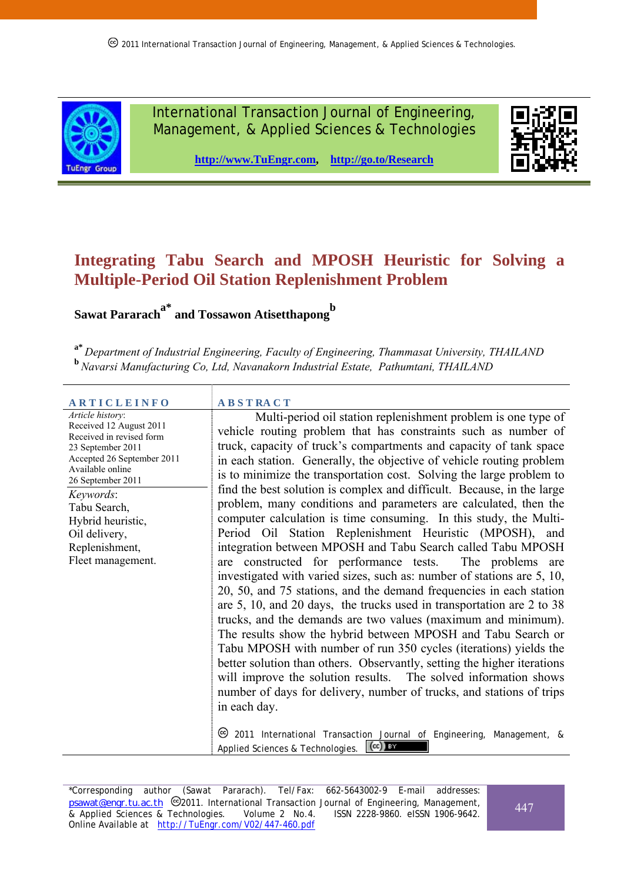

International Transaction Journal of Engineering, Management, & Applied Sciences & Technologies



**http://www.TuEngr.com, http://go.to/Research**

# **Integrating Tabu Search and MPOSH Heuristic for Solving a Multiple-Period Oil Station Replenishment Problem**

**Sawat Pararach<sup>a\*</sup> and Tossawon Atisetthapong** 

**a\*** *Department of Industrial Engineering, Faculty of Engineering, Thammasat University, THAILAND* **<sup>b</sup>***Navarsi Manufacturing Co, Ltd, Navanakorn Industrial Estate, Pathumtani, THAILAND*

#### **A R T I C L E I N F O A B S T RA C T** *Article history*: Received 12 August 2011 Received in revised form 23 September 2011 Accepted 26 September 2011 Available online 26 September 2011 *Keywords*: Tabu Search, Hybrid heuristic, Oil delivery, Replenishment, Fleet management.

 Multi-period oil station replenishment problem is one type of vehicle routing problem that has constraints such as number of truck, capacity of truck's compartments and capacity of tank space in each station. Generally, the objective of vehicle routing problem is to minimize the transportation cost. Solving the large problem to find the best solution is complex and difficult. Because, in the large problem, many conditions and parameters are calculated, then the computer calculation is time consuming. In this study, the Multi-Period Oil Station Replenishment Heuristic (MPOSH), and integration between MPOSH and Tabu Search called Tabu MPOSH are constructed for performance tests. The problems are investigated with varied sizes, such as: number of stations are 5, 10, 20, 50, and 75 stations, and the demand frequencies in each station are 5, 10, and 20 days, the trucks used in transportation are 2 to 38 trucks, and the demands are two values (maximum and minimum). The results show the hybrid between MPOSH and Tabu Search or Tabu MPOSH with number of run 350 cycles (iterations) yields the better solution than others. Observantly, setting the higher iterations will improve the solution results. The solved information shows number of days for delivery, number of trucks, and stations of trips in each day.

2011 International Transaction Journal of Engineering, Management, & Applied Sciences & Technologies.  $\left(\mathrm{cc}\right)$  and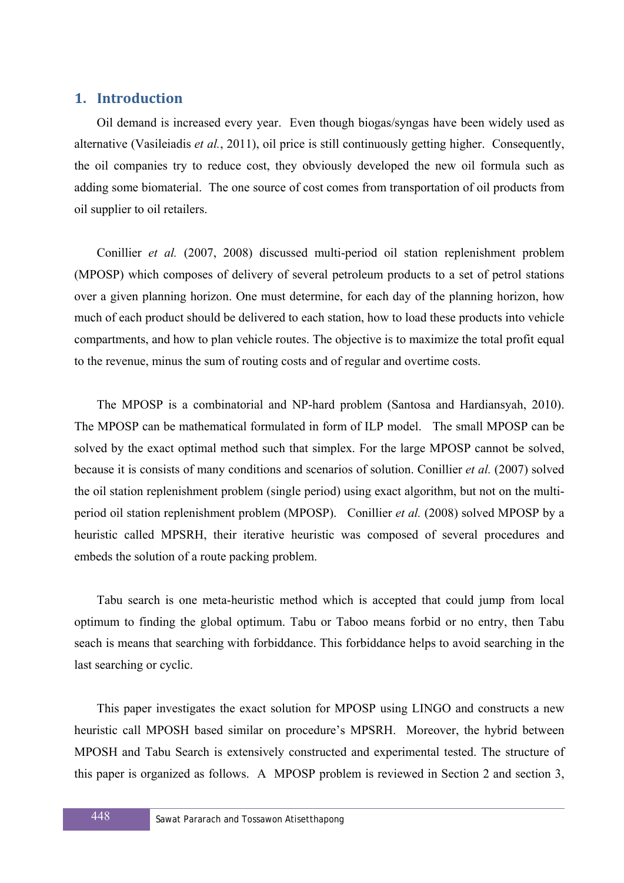## **1. Introduction**

Oil demand is increased every year. Even though biogas/syngas have been widely used as alternative (Vasileiadis *et al.*, 2011), oil price is still continuously getting higher. Consequently, the oil companies try to reduce cost, they obviously developed the new oil formula such as adding some biomaterial. The one source of cost comes from transportation of oil products from oil supplier to oil retailers.

Conillier *et al.* (2007, 2008) discussed multi-period oil station replenishment problem (MPOSP) which composes of delivery of several petroleum products to a set of petrol stations over a given planning horizon. One must determine, for each day of the planning horizon, how much of each product should be delivered to each station, how to load these products into vehicle compartments, and how to plan vehicle routes. The objective is to maximize the total profit equal to the revenue, minus the sum of routing costs and of regular and overtime costs.

The MPOSP is a combinatorial and NP-hard problem (Santosa and Hardiansyah, 2010). The MPOSP can be mathematical formulated in form of ILP model. The small MPOSP can be solved by the exact optimal method such that simplex. For the large MPOSP cannot be solved, because it is consists of many conditions and scenarios of solution. Conillier *et al.* (2007) solved the oil station replenishment problem (single period) using exact algorithm, but not on the multiperiod oil station replenishment problem (MPOSP). Conillier *et al.* (2008) solved MPOSP by a heuristic called MPSRH, their iterative heuristic was composed of several procedures and embeds the solution of a route packing problem.

Tabu search is one meta-heuristic method which is accepted that could jump from local optimum to finding the global optimum. Tabu or Taboo means forbid or no entry, then Tabu seach is means that searching with forbiddance. This forbiddance helps to avoid searching in the last searching or cyclic.

This paper investigates the exact solution for MPOSP using LINGO and constructs a new heuristic call MPOSH based similar on procedure's MPSRH. Moreover, the hybrid between MPOSH and Tabu Search is extensively constructed and experimental tested. The structure of this paper is organized as follows. A MPOSP problem is reviewed in Section 2 and section 3,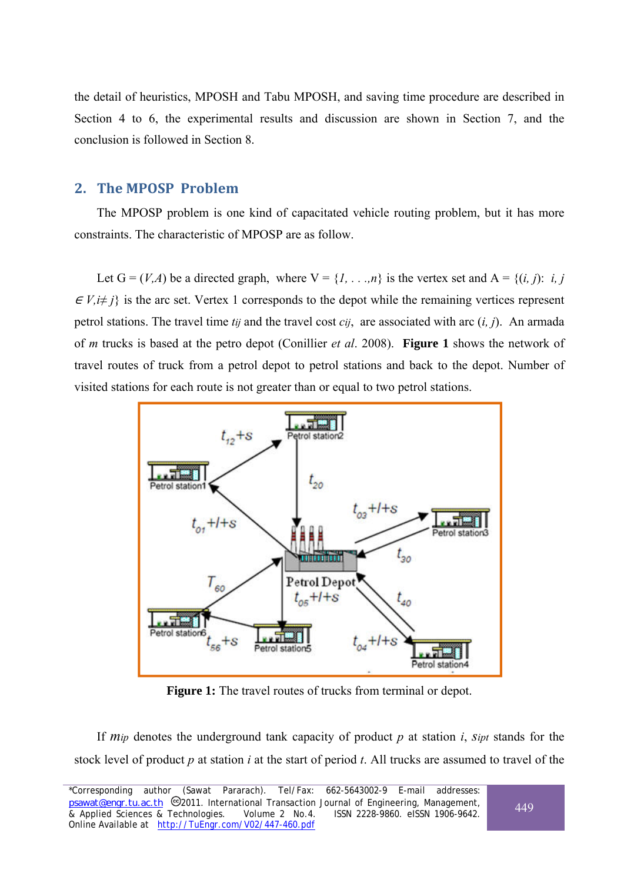the detail of heuristics, MPOSH and Tabu MPOSH, and saving time procedure are described in Section 4 to 6, the experimental results and discussion are shown in Section 7, and the conclusion is followed in Section 8.

## **2. The MPOSP Problem**

The MPOSP problem is one kind of capacitated vehicle routing problem, but it has more constraints. The characteristic of MPOSP are as follow.

Let  $G = (V, A)$  be a directed graph, where  $V = \{1, \ldots, n\}$  is the vertex set and  $A = \{(i, j): i, j\}$  $\in V, i \neq j$  is the arc set. Vertex 1 corresponds to the depot while the remaining vertices represent petrol stations. The travel time *tij* and the travel cost *cij*, are associated with arc (*i, j*). An armada of *m* trucks is based at the petro depot (Conillier *et al*. 2008). **Figure 1** shows the network of travel routes of truck from a petrol depot to petrol stations and back to the depot. Number of visited stations for each route is not greater than or equal to two petrol stations.



**Figure 1:** The travel routes of trucks from terminal or depot.

If *mip* denotes the underground tank capacity of product *p* at station *i*, *sipt* stands for the stock level of product *p* at station *i* at the start of period *t*. All trucks are assumed to travel of the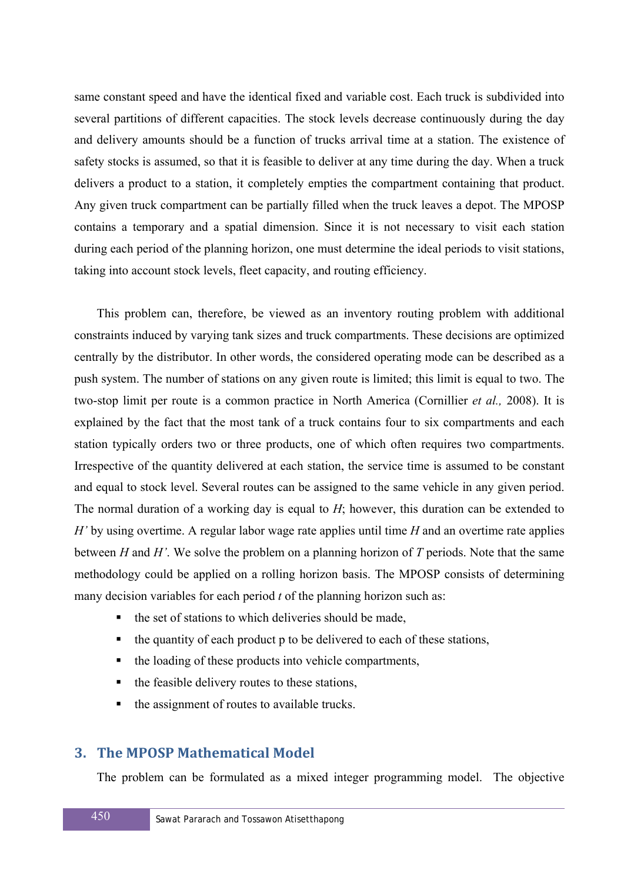same constant speed and have the identical fixed and variable cost. Each truck is subdivided into several partitions of different capacities. The stock levels decrease continuously during the day and delivery amounts should be a function of trucks arrival time at a station. The existence of safety stocks is assumed, so that it is feasible to deliver at any time during the day. When a truck delivers a product to a station, it completely empties the compartment containing that product. Any given truck compartment can be partially filled when the truck leaves a depot. The MPOSP contains a temporary and a spatial dimension. Since it is not necessary to visit each station during each period of the planning horizon, one must determine the ideal periods to visit stations, taking into account stock levels, fleet capacity, and routing efficiency.

This problem can, therefore, be viewed as an inventory routing problem with additional constraints induced by varying tank sizes and truck compartments. These decisions are optimized centrally by the distributor. In other words, the considered operating mode can be described as a push system. The number of stations on any given route is limited; this limit is equal to two. The two-stop limit per route is a common practice in North America (Cornillier *et al.,* 2008). It is explained by the fact that the most tank of a truck contains four to six compartments and each station typically orders two or three products, one of which often requires two compartments. Irrespective of the quantity delivered at each station, the service time is assumed to be constant and equal to stock level. Several routes can be assigned to the same vehicle in any given period. The normal duration of a working day is equal to *H*; however, this duration can be extended to *H'* by using overtime. A regular labor wage rate applies until time *H* and an overtime rate applies between *H* and *H'*. We solve the problem on a planning horizon of *T* periods. Note that the same methodology could be applied on a rolling horizon basis. The MPOSP consists of determining many decision variables for each period *t* of the planning horizon such as:

- $\blacksquare$  the set of stations to which deliveries should be made.
- the quantity of each product p to be delivered to each of these stations,
- the loading of these products into vehicle compartments,
- the feasible delivery routes to these stations,
- the assignment of routes to available trucks.

## **3. The MPOSP Mathematical Model**

The problem can be formulated as a mixed integer programming model. The objective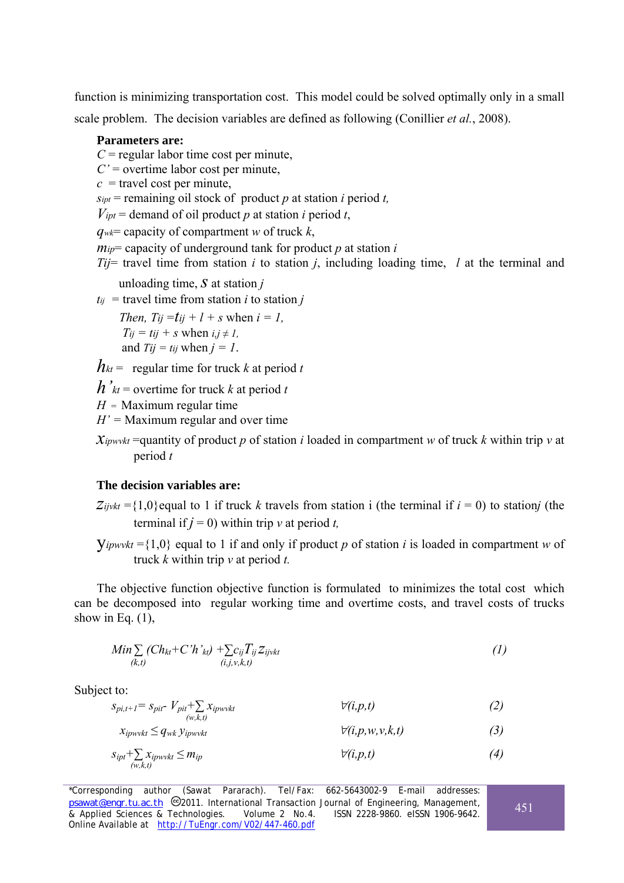function is minimizing transportation cost. This model could be solved optimally only in a small scale problem. The decision variables are defined as following (Conillier *et al.*, 2008).

#### **Parameters are:**

 $C$  = regular labor time cost per minute,

- *C'* = overtime labor cost per minute,
- $c =$  travel cost per minute,

 $s_{ipt}$  = remaining oil stock of product *p* at station *i* period *t*,

 $V_{\text{int}}$  = demand of oil product *p* at station *i* period *t*,

*qwk*= capacity of compartment *w* of truck *k*,

*mip*= capacity of underground tank for product *p* at station *i*

*Tij*= travel time from station *i* to station *j*, including loading time, *l* at the terminal and

unloading time, *s* at station *<sup>j</sup>*

 $t_{ij}$  = travel time from station *i* to station *j* 

*Then, Tij* =  $t_{ii}$  +  $l$  + *s* when  $i = l$ ,  $Ti<sub>i</sub> = t<sub>ij</sub> + s$  when  $i, j \neq 1$ , and  $Tij = tij$  when  $j = 1$ .

 $h_{kt}$  = regular time for truck k at period t

 $h'_{kt}$  = overtime for truck *k* at period *t* 

 $H =$ Maximum regular time

*H' =* Maximum regular and over time

 $\chi_{ipwvkt}$  =quantity of product *p* of station *i* loaded in compartment *w* of truck *k* within trip *v* at period *t* 

#### **The decision variables are:**

- $Z_{ijvkt} = \{1,0\}$  equal to 1 if truck *k* travels from station i (the terminal if  $i = 0$ ) to station*j* (the terminal if  $j = 0$ ) within trip  $v$  at period *t*,
- $Y_{ipwvkt} = \{1,0\}$  equal to 1 if and only if product p of station *i* is loaded in compartment w of truck *k* within trip *v* at period *t.*

The objective function objective function is formulated to minimizes the total cost which can be decomposed into regular working time and overtime costs, and travel costs of trucks show in Eq.  $(1)$ ,

$$
Min \sum_{(k,t)} (Ch_{kt} + C'h'_{kt}) + \sum_{(i,j,v,k,t)} T_{ij} Z_{ijvkt}
$$
\n(1)

Subject to:

*spi,t+1= spit- Vpit+∑ xipwvkt* ∀*(i,p,t) (2) (w,k,t)* 

 $x_{\text{ipwvkt}} \leq q_{\text{wk}} y_{\text{ipwvkt}}$  (3)

$$
S_{ipt} + \sum_{(w,k,t)} x_{ipwvkt} \le m_{ip} \qquad \qquad \forall (i,p,t) \tag{4}
$$

\*Corresponding author (Sawat Pararach). Tel/Fax: 662-5643002-9 E-mail addresses: *psawat@engr.tu.ac.th* 2011. International Transaction Journal of Engineering, Management, & Applied Sciences & Technologies. Volume 2 No.4. ISSN 2228-9860. eISSN 1906-9642. Online Available at http://TuEngr.com/V02/447-460.pdf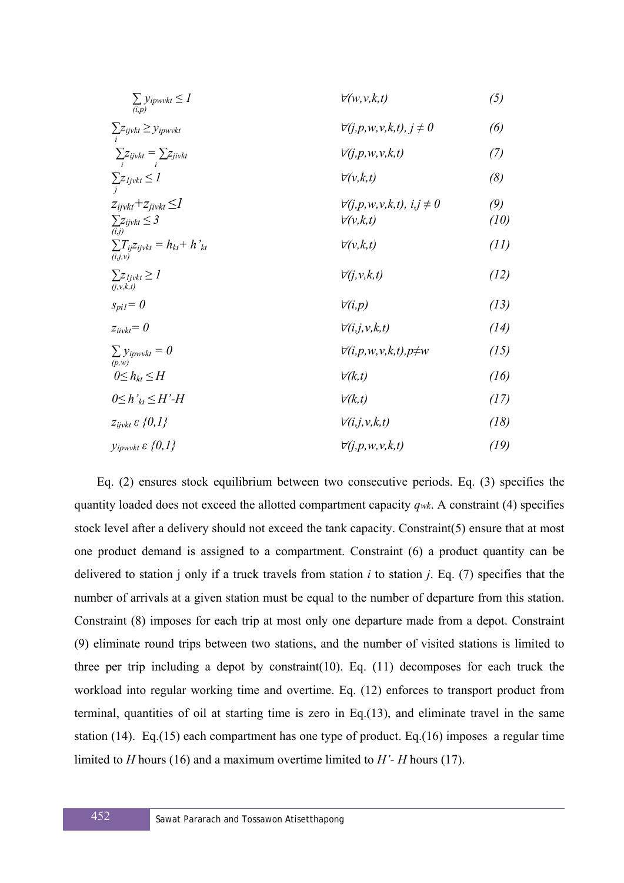| $\sum_{(i,p)}$ yipwvkt $\leq I$                                    | $\forall (w, v, k, t)$                                           | (5)         |
|--------------------------------------------------------------------|------------------------------------------------------------------|-------------|
| $\sum z_{ijvkt} \geq y_{ipwvkt}$                                   | $\forall (j, p, w, v, k, t), j \neq 0$                           | (6)         |
| $\sum z_{ijvkt} = \sum z_{jivkt}$                                  | $\forall (j, p, w, v, k, t)$                                     | (7)         |
| $\sum_{i} z_{ljvkt} \leq I$                                        | $\forall (v,k,t)$                                                | (8)         |
| $z_{ijvkt} + z_{jivkt} \leq I$<br>$\sum z_{ijvkt} \leq 3$<br>(i,j) | $\forall (j, p, w, v, k, t), i, j \neq 0$<br>$\forall (v, k, t)$ | (9)<br>(10) |
| $\sum_{(i,j,v)} T_{ij} z_{ijvkt} = h_{kt} + h'_{kt}$               | $\forall (v,k,t)$                                                | (11)        |
| $\sum z_{ljvkt} \geq l$<br>(j, v, k, t)                            | $\forall (j, v, k, t)$                                           | (12)        |
| $s_{piI} = 0$                                                      | $\forall (i,p)$                                                  | (13)        |
| $z_{i\text{ivkt}}=0$                                               | $\forall (i,j,v,k,t)$                                            | (14)        |
| $\sum y_{ipwvkt} = 0$<br>$\overline{(p,w)}$                        | $\forall (i, p, w, v, k, t), p \neq w$                           | (15)        |
| $0 \leq h_{kt} \leq H$                                             | $\forall$ (k,t)                                                  | (16)        |
| $0 \leq h \leq H$ '-H                                              | $\forall$ (k,t)                                                  | (17)        |
| $z_{ijvkt} \varepsilon \{0,1\}$                                    | $\forall (i,j,v,k,t)$                                            | (18)        |
| $y_{ipwvkt}$ $\varepsilon$ {0,1}                                   | $\forall (j, p, w, v, k, t)$                                     | (19)        |

Eq. (2) ensures stock equilibrium between two consecutive periods. Eq. (3) specifies the quantity loaded does not exceed the allotted compartment capacity *qwk*. A constraint (4) specifies stock level after a delivery should not exceed the tank capacity. Constraint(5) ensure that at most one product demand is assigned to a compartment. Constraint (6) a product quantity can be delivered to station j only if a truck travels from station *i* to station *j*. Eq. (7) specifies that the number of arrivals at a given station must be equal to the number of departure from this station. Constraint (8) imposes for each trip at most only one departure made from a depot. Constraint (9) eliminate round trips between two stations, and the number of visited stations is limited to three per trip including a depot by constraint(10). Eq. (11) decomposes for each truck the workload into regular working time and overtime. Eq. (12) enforces to transport product from terminal, quantities of oil at starting time is zero in Eq.(13), and eliminate travel in the same station (14). Eq.(15) each compartment has one type of product. Eq.(16) imposes a regular time limited to *H* hours (16) and a maximum overtime limited to *H'- H* hours (17).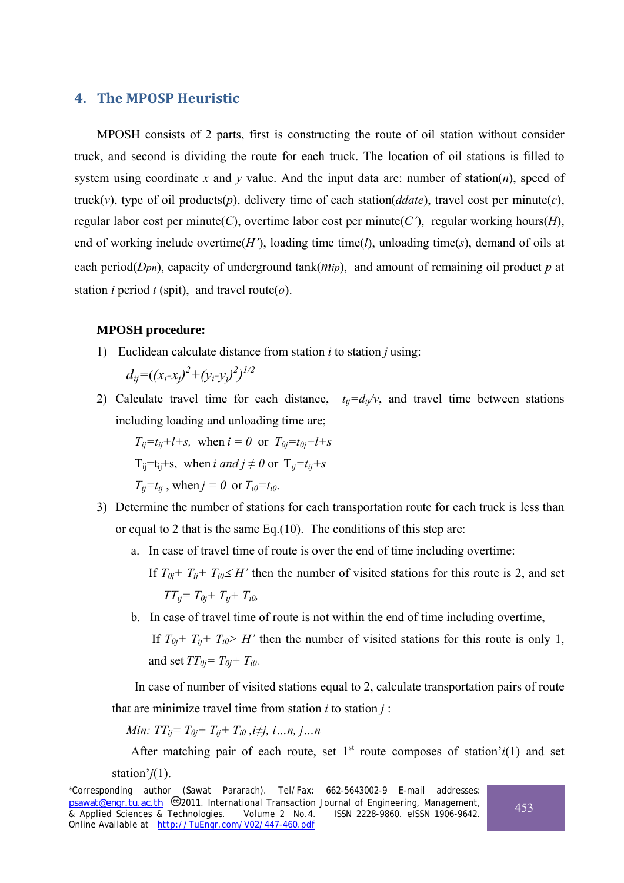## **4. The MPOSP Heuristic**

MPOSH consists of 2 parts, first is constructing the route of oil station without consider truck, and second is dividing the route for each truck. The location of oil stations is filled to system using coordinate *x* and *y* value. And the input data are: number of station(*n*), speed of truck(*v*), type of oil products(*p*), delivery time of each station(*ddate*), travel cost per minute(*c*), regular labor cost per minute(*C*), overtime labor cost per minute(*C'*), regular working hours(*H*), end of working include overtime(*H'*), loading time time(*l*), unloading time(*s*), demand of oils at each period(*Dpn*), capacity of underground tank(*mip*), and amount of remaining oil product *p* at station *i* period *t* (spit), and travel route( $o$ ).

#### **MPOSH procedure:**

1) Euclidean calculate distance from station *i* to station *j* using:

 $d_{ij} = ((x_i - x_j)^2 + (y_i - y_j)^2)^{1/2}$ 

2) Calculate travel time for each distance,  $t_{ii} = d_{ii}/v$ , and travel time between stations including loading and unloading time are;

$$
T_{ij}=t_{ij}+l+s
$$
, when  $i = 0$  or  $T_{0j}=t_{0j}+l+s$   
\n $T_{ij}=t_{ij}+s$ , when  $i$  and  $j \neq 0$  or  $T_{ij}=t_{ij}+s$   
\n $T_{ij}=t_{ij}$ , when  $j = 0$  or  $T_{i0}=t_{i0}$ .

- 3) Determine the number of stations for each transportation route for each truck is less than or equal to 2 that is the same Eq.(10). The conditions of this step are:
	- a. In case of travel time of route is over the end of time including overtime:

If  $T_{0j}$ +  $T_{ij}$ +  $T_{i0} \leq H'$  then the number of visited stations for this route is 2, and set  $TT_{ii}= T_{0i}+ T_{ii}+ T_{i0}$ 

b. In case of travel time of route is not within the end of time including overtime,

If  $T_{0j}$ +  $T_{ij}$ +  $T_{i0}$ > *H'* then the number of visited stations for this route is only 1, and set  $TT_{0i} = T_{0i} + T_{i0}$ .

In case of number of visited stations equal to 2, calculate transportation pairs of route that are minimize travel time from station  $i$  to station  $j$ :

*Min*: 
$$
TT_{ij} = T_{0j} + T_{ij} + T_{i0}
$$
,  $i \neq j$ ,  $i...n$ ,  $j...n$ 

After matching pair of each route, set  $1<sup>st</sup>$  route composes of station' $i(1)$  and set station'*j*(1).

<sup>\*</sup>Corresponding author (Sawat Pararach). Tel/Fax: 662-5643002-9 E-mail addresses: psawat@engr.tu.ac.th <sup>@</sup>2011. International Transaction Journal of Engineering, Management, *b*<br>& Applied Sciences & Technologies. Volume 2 No.4. ISSN 2228-9860. eISSN 1906-9642.  $\overline{\&}$  Applied Sciences  $\overline{\&}$  Technologies. Online Available at http://TuEngr.com/V02/447-460.pdf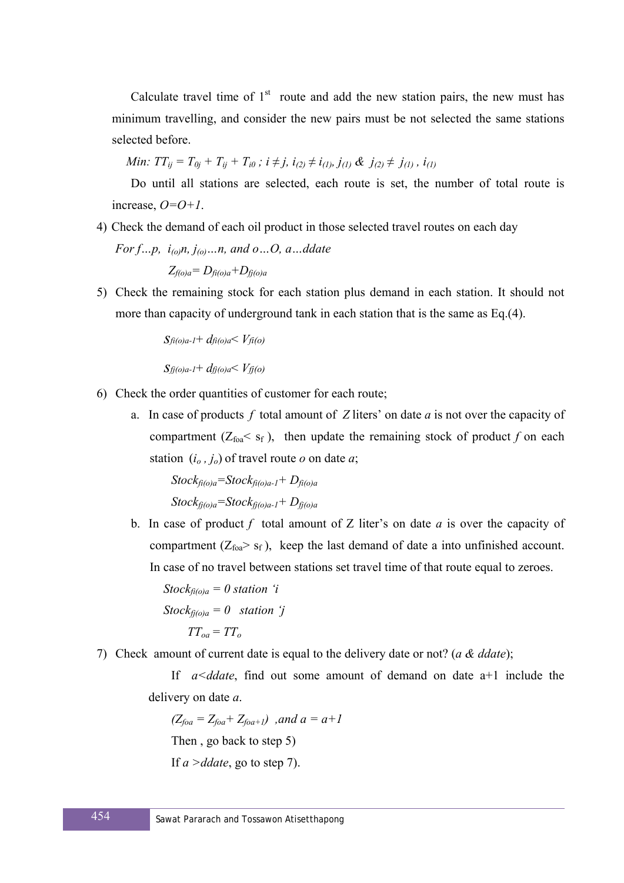Calculate travel time of  $1<sup>st</sup>$  route and add the new station pairs, the new must has minimum travelling, and consider the new pairs must be not selected the same stations selected before.

*Min:*  $TT_{ij} = T_{0j} + T_{ij} + T_{i0}$ ;  $i \neq j$ ,  $i_{(2)} \neq i_{(1)}, j_{(1)} \& j_{(2)} \neq j_{(1)}$ ,  $i_{(1)}$ 

Do until all stations are selected, each route is set, the number of total route is increase, *O=O+1*.

- 4) Check the demand of each oil product in those selected travel routes on each day
	- *For f…p, i<sub>(o)</sub>n, j<sub>(o)</sub>…n, and o…O, a…ddate*

 $Z_{f(\alpha)a} = D_{f_i(\alpha)a} + D_{f_i(\alpha)a}$ 

5) Check the remaining stock for each station plus demand in each station. It should not more than capacity of underground tank in each station that is the same as Eq.(4).

*sfi(o)a-1*+ *dfi(o)a*< *Vfi(o)*

*sfj(o)a-1*+ *dfj(o)a*< *Vfj(o)*

- 6) Check the order quantities of customer for each route;
	- a. In case of products *f* total amount of *Z* liters' on date *a* is not over the capacity of compartment ( $Z_{\text{foa}} < s_f$ ), then update the remaining stock of product *f* on each station  $(i_0, i_0)$  of travel route *o* on date *a*;

 $Stock_{\hat{t}(o)a} = Stock_{\hat{t}(o)a-1} + D_{\hat{t}(o)a}$ *Stockfj(o)a=Stockfj(o)a-1+ Dfj(o)a*

b. In case of product *f* total amount of Z liter's on date *a* is over the capacity of compartment  $(Z_{\text{foa}} > s_f)$ , keep the last demand of date a into unfinished account. In case of no travel between stations set travel time of that route equal to zeroes.

 $Stock_{fi(o)a} = 0$  *station 'i Stock* $_{f_i(o)a} = 0$  *station 'j*  $TT_{oa} = TT_{oa}$ 

7) Check amount of current date is equal to the delivery date or not? (*a & ddate*);

If *a<ddate*, find out some amount of demand on date a+1 include the delivery on date *a*.

 $(Z_{foa} = Z_{foa} + Z_{foa+1})$ , and  $a = a+1$ Then , go back to step 5) If *a >ddate*, go to step 7).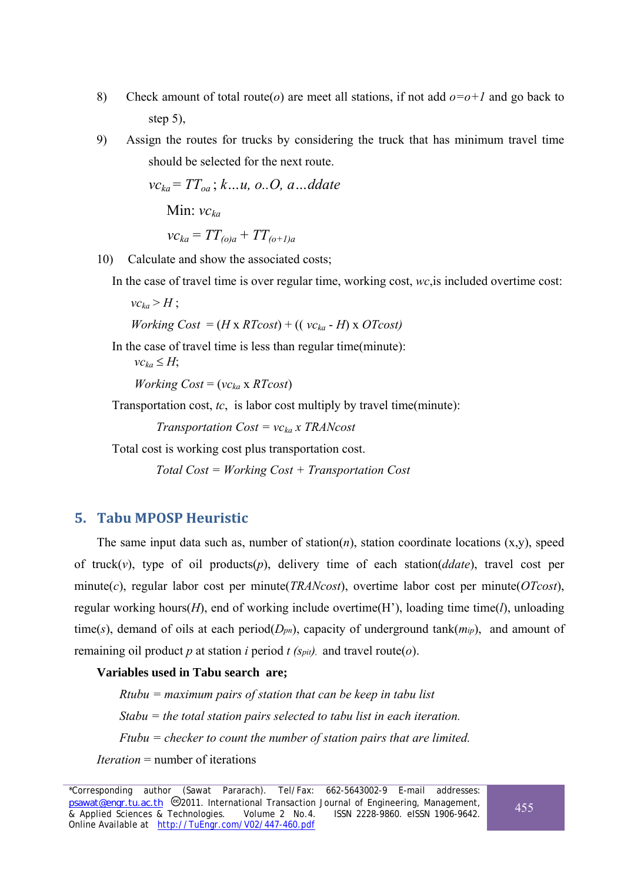- 8) Check amount of total route(*o*) are meet all stations, if not add *o=o+1* and go back to step 5),
- 9) Assign the routes for trucks by considering the truck that has minimum travel time should be selected for the next route.

*vcka* = *TToa* ; *k…u, o..O, a…ddate*  Min: *vcka*

$$
vc_{ka} = TT_{(o)a} + TT_{(o+1)a}
$$

10) Calculate and show the associated costs;

In the case of travel time is over regular time, working cost, *wc*,is included overtime cost:

 $vc_{ka}$  $>$ *H*;

*Working Cost* =  $(H \times RT\cos t) + ((vc_{ka} - H) \times OT\cos t)$ 

In the case of travel time is less than regular time(minute):

 $vc_{ka} \leq H$ 

*Working Cost* = (*vcka* x *RTcost*)

Transportation cost, *tc*, is labor cost multiply by travel time(minute):

*Transportation Cost = vcka x TRANcost* 

Total cost is working cost plus transportation cost.

 *Total Cost = Working Cost + Transportation Cost*

## **5. Tabu MPOSP Heuristic**

The same input data such as, number of station( $n$ ), station coordinate locations  $(x,y)$ , speed of truck(*v*), type of oil products(*p*), delivery time of each station(*ddate*), travel cost per minute(*c*), regular labor cost per minute(*TRANcost*), overtime labor cost per minute(*OTcost*), regular working hours(*H*), end of working include overtime(H'), loading time time(*l*), unloading time(*s*), demand of oils at each period( $D_{pn}$ ), capacity of underground tank( $m_{ip}$ ), and amount of remaining oil product *p* at station *i* period *t (spit),* and travel route(*o*).

### **Variables used in Tabu search are;**

*Rtubu = maximum pairs of station that can be keep in tabu list Stabu = the total station pairs selected to tabu list in each iteration. Ftubu = checker to count the number of station pairs that are limited. Iteration* = number of iterations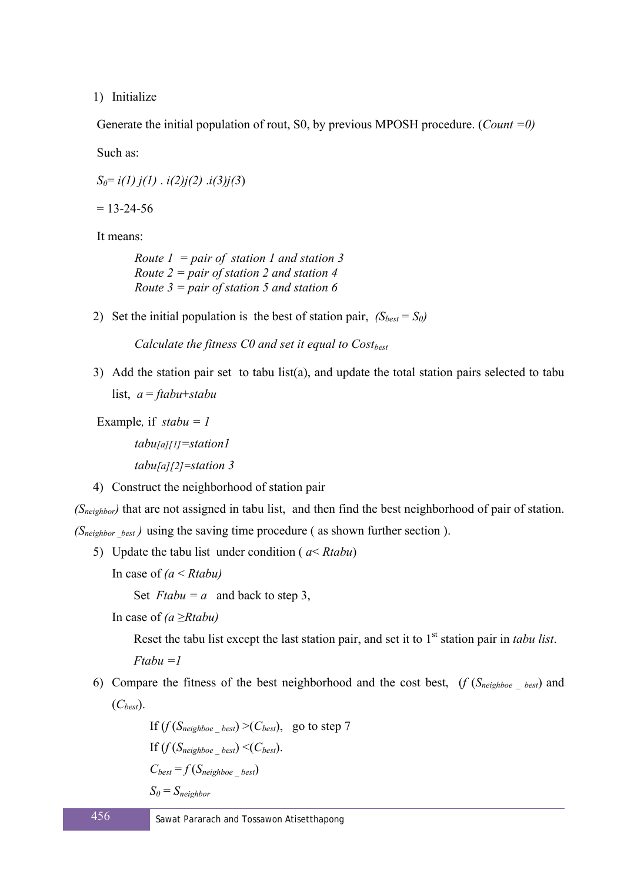1) Initialize

Generate the initial population of rout, S0, by previous MPOSH procedure. (*Count =0)*

Such as:

*S0*= *i(1) j(1)* . *i(2)j(2)* .*i(3)j(3*)

 $= 13 - 24 - 56$ 

It means:

*Route 1 = pair of station 1 and station 3 Route 2 = pair of station 2 and station 4 Route 3 = pair of station 5 and station 6* 

2) Set the initial population is the best of station pair,  $(S_{best} = S_0)$ 

*Calculate the fitness C0 and set it equal to Cost<sub>best</sub>* 

3) Add the station pair set to tabu list(a), and update the total station pairs selected to tabu list, *a* = *ftabu*+*stabu*

Example*,* if *stabu = 1*

*tabu[a][1]=station1 tabu[a][2]=station 3* 

4) Construct the neighborhood of station pair

*(Sneighbor)* that are not assigned in tabu list, and then find the best neighborhood of pair of station.

*(Sneighbor* \_*best )* using the saving time procedure ( as shown further section ).

5) Update the tabu list under condition ( *a*< *Rtabu*)

In case of *(a* < *Rtabu)* 

Set  $Ftabu = a$  and back to step 3,

In case of *(a* ≥*Rtabu)*

Reset the tabu list except the last station pair, and set it to 1<sup>st</sup> station pair in *tabu list*.

*Ftabu =1* 

6) Compare the fitness of the best neighborhood and the cost best, (*f* (*Sneighboe \_ best*) and (*Cbest*).

> If  $(f(S_{neiehboe best}) > (C_{best})$ , go to step 7 If  $(f(S_{neighbor \ best}) \leq (C_{best})$ .  $C_{best} = f(S_{neighbor \ best})$  $S_0 = S_{neichbor}$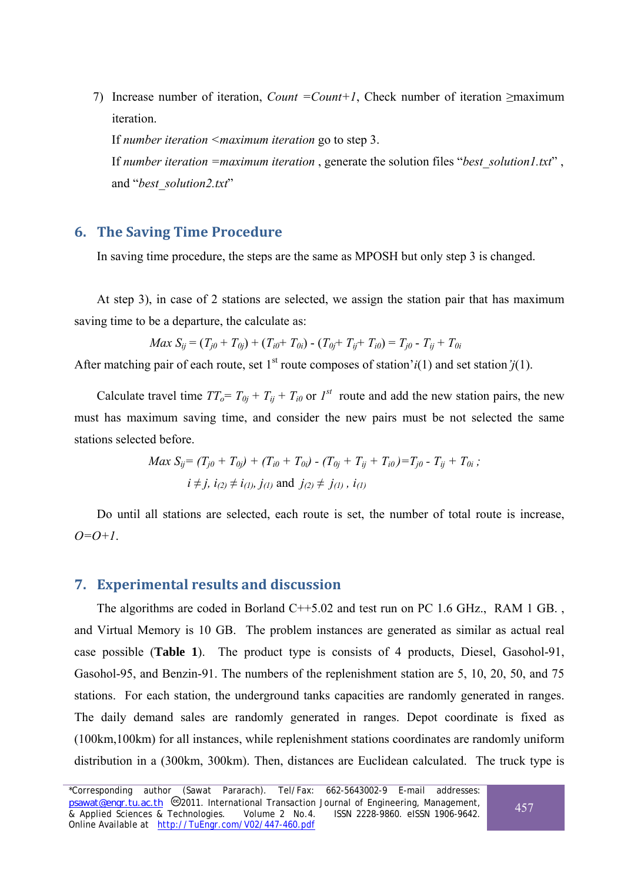7) Increase number of iteration, *Count =Count+1*, Check number of iteration ≥maximum iteration.

If *number iteration <maximum iteration* go to step 3. If *number iteration =maximum iteration* , generate the solution files "*best\_solution1.txt*" , and "*best\_solution2.txt*"

## **6. The Saving Time Procedure**

In saving time procedure, the steps are the same as MPOSH but only step 3 is changed.

At step 3), in case of 2 stations are selected, we assign the station pair that has maximum saving time to be a departure, the calculate as:

$$
Max S_{ij} = (T_{j0} + T_{0j}) + (T_{i0} + T_{0i}) - (T_{0j} + T_{ij} + T_{i0}) = T_{j0} - T_{ij} + T_{0i}
$$

After matching pair of each route, set 1<sup>st</sup> route composes of station' $i(1)$  and set station' $i(1)$ .

Calculate travel time  $TT_o = T_{0i} + T_{ii} + T_{i0}$  or  $I^{st}$  route and add the new station pairs, the new must has maximum saving time, and consider the new pairs must be not selected the same stations selected before.

$$
Max S_{ij} = (T_{j0} + T_{0j}) + (T_{i0} + T_{0i}) - (T_{0j} + T_{ij} + T_{i0}) = T_{j0} - T_{ij} + T_{0i};
$$
  
 $i \neq j, i_{(2)} \neq i_{(1)}, j_{(1)}$  and  $j_{(2)} \neq j_{(1)}, i_{(1)}$ 

Do until all stations are selected, each route is set, the number of total route is increase, *O=O+1*.

### **7. Experimental results and discussion**

The algorithms are coded in Borland C++5.02 and test run on PC 1.6 GHz., RAM 1 GB. , and Virtual Memory is 10 GB. The problem instances are generated as similar as actual real case possible (**Table 1**). The product type is consists of 4 products, Diesel, Gasohol-91, Gasohol-95, and Benzin-91. The numbers of the replenishment station are 5, 10, 20, 50, and 75 stations. For each station, the underground tanks capacities are randomly generated in ranges. The daily demand sales are randomly generated in ranges. Depot coordinate is fixed as (100km,100km) for all instances, while replenishment stations coordinates are randomly uniform distribution in a (300km, 300km). Then, distances are Euclidean calculated. The truck type is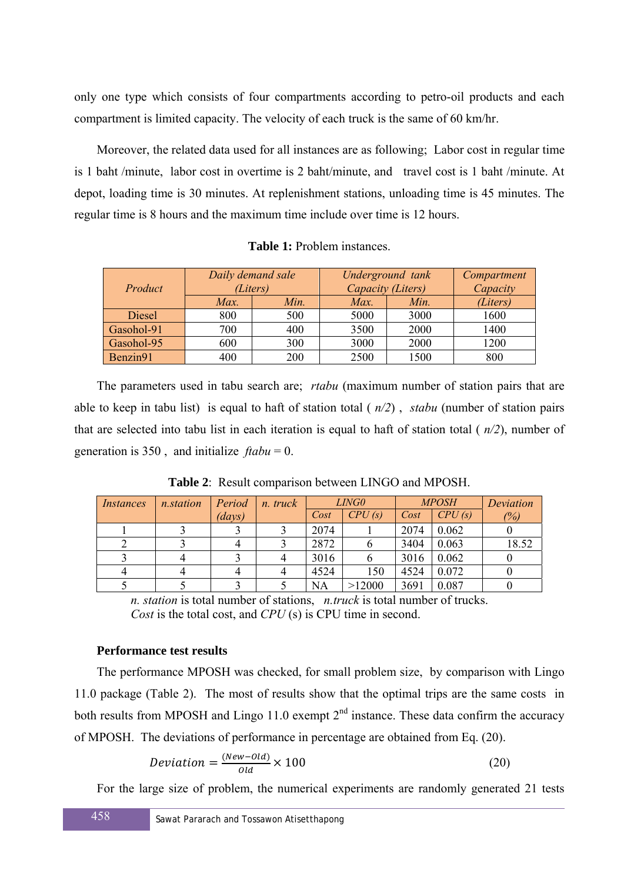only one type which consists of four compartments according to petro-oil products and each compartment is limited capacity. The velocity of each truck is the same of 60 km/hr.

Moreover, the related data used for all instances are as following; Labor cost in regular time is 1 baht /minute, labor cost in overtime is 2 baht/minute, and travel cost is 1 baht /minute. At depot, loading time is 30 minutes. At replenishment stations, unloading time is 45 minutes. The regular time is 8 hours and the maximum time include over time is 12 hours.

| Product    |      | Daily demand sale<br>(Liters) | Underground tank<br>Capacity (Liters) | Compartment<br>Capacity |          |
|------------|------|-------------------------------|---------------------------------------|-------------------------|----------|
|            | Max. | Min.                          | Max.                                  | Min.                    | (Liters) |
| Diesel     | 800  | 500                           | 5000                                  | 3000                    | 1600     |
| Gasohol-91 | 700  | 400                           | 3500                                  | 2000                    | 1400     |
| Gasohol-95 | 600  | 300                           | 3000                                  | 2000                    | 1200     |
| Benzin91   | 400  | 200                           | 2500                                  | 1500                    | 800      |

**Table 1:** Problem instances.

The parameters used in tabu search are; *rtabu* (maximum number of station pairs that are able to keep in tabu list) is equal to haft of station total ( *n/2*) , *stabu* (number of station pairs that are selected into tabu list in each iteration is equal to haft of station total ( *n/2*), number of generation is 350, and initialize  $ftabu = 0$ .

| Instances | <i>n.station</i> | Period | n. truck | <i>LING0</i> |        | <b>MPOSH</b> |        | Deviation |
|-----------|------------------|--------|----------|--------------|--------|--------------|--------|-----------|
|           |                  | (days) |          | Cost         | CPU(s) | Cost         | CPU(s) | (%)       |
|           |                  |        |          | 2074         |        | 2074         | 0.062  |           |
|           |                  |        |          | 2872         |        | 3404         | 0.063  | 18.52     |
|           |                  |        |          | 3016         |        | 3016         | 0.062  |           |
|           |                  |        |          | 4524         | 150    | 4524         | 0.072  |           |
|           |                  |        |          | <b>NA</b>    | >12000 | 3691         | 0.087  |           |

**Table 2**: Result comparison between LINGO and MPOSH.

*n. station* is total number of stations, *n.truck* is total number of trucks. *Cost* is the total cost, and *CPU* (s) is CPU time in second.

#### **Performance test results**

The performance MPOSH was checked, for small problem size, by comparison with Lingo 11.0 package (Table 2). The most of results show that the optimal trips are the same costs in both results from MPOSH and Lingo 11.0 exempt  $2<sup>nd</sup>$  instance. These data confirm the accuracy of MPOSH. The deviations of performance in percentage are obtained from Eq. (20).

$$
Deviation = \frac{(New-Old)}{Old} \times 100
$$
\n(20)

For the large size of problem, the numerical experiments are randomly generated 21 tests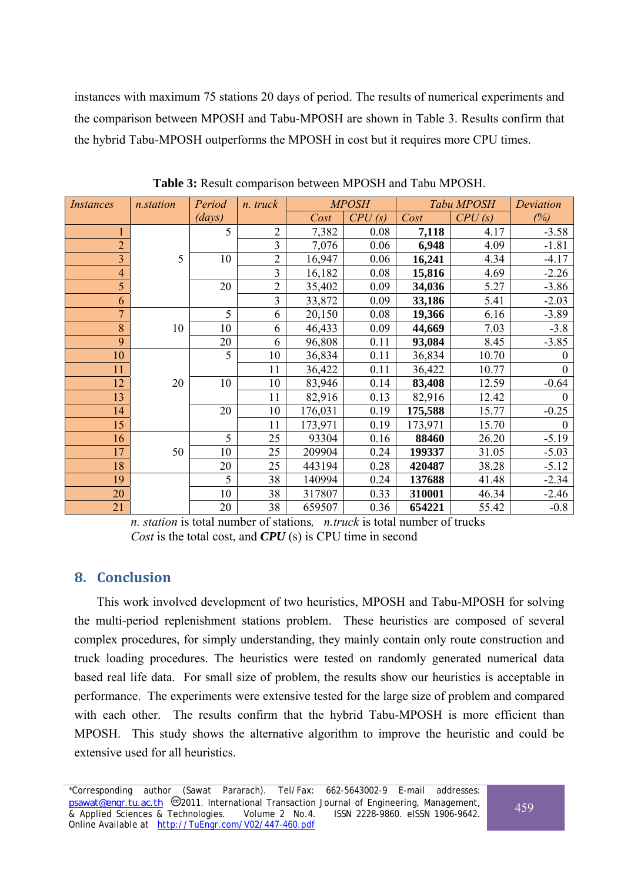instances with maximum 75 stations 20 days of period. The results of numerical experiments and the comparison between MPOSH and Tabu-MPOSH are shown in Table 3. Results confirm that the hybrid Tabu-MPOSH outperforms the MPOSH in cost but it requires more CPU times.

| <i>Instances</i> | <i>n.station</i> | Period | n. truck       | <b>MPOSH</b> |        | Tabu MPOSH |        | Deviation    |
|------------------|------------------|--------|----------------|--------------|--------|------------|--------|--------------|
|                  |                  | (days) |                | Cost         | CPU(s) | Cost       | CPU(s) | (%)          |
| 1                |                  | 5      | $\overline{2}$ | 7,382        | 0.08   | 7,118      | 4.17   | $-3.58$      |
| $\overline{2}$   |                  |        | $\overline{3}$ | 7,076        | 0.06   | 6,948      | 4.09   | $-1.81$      |
| $\overline{3}$   | 5                | 10     | $\overline{2}$ | 16,947       | 0.06   | 16,241     | 4.34   | $-4.17$      |
| $\overline{4}$   |                  |        | $\overline{3}$ | 16,182       | 0.08   | 15,816     | 4.69   | $-2.26$      |
| 5                |                  | 20     | $\overline{2}$ | 35,402       | 0.09   | 34,036     | 5.27   | $-3.86$      |
| 6                |                  |        | 3              | 33,872       | 0.09   | 33,186     | 5.41   | $-2.03$      |
| $\overline{7}$   |                  | 5      | 6              | 20,150       | 0.08   | 19,366     | 6.16   | $-3.89$      |
| 8                | 10               | 10     | 6              | 46,433       | 0.09   | 44,669     | 7.03   | $-3.8$       |
| 9                |                  | 20     | 6              | 96,808       | 0.11   | 93,084     | 8.45   | $-3.85$      |
| 10               |                  | 5      | 10             | 36,834       | 0.11   | 36,834     | 10.70  | $\theta$     |
| 11               |                  |        | 11             | 36,422       | 0.11   | 36,422     | 10.77  | $\mathbf{0}$ |
| 12               | 20               | 10     | 10             | 83,946       | 0.14   | 83,408     | 12.59  | $-0.64$      |
| 13               |                  |        | 11             | 82,916       | 0.13   | 82,916     | 12.42  | $\mathbf{0}$ |
| 14               |                  | 20     | 10             | 176,031      | 0.19   | 175,588    | 15.77  | $-0.25$      |
| 15               |                  |        | 11             | 173,971      | 0.19   | 173,971    | 15.70  | $\theta$     |
| 16               |                  | 5      | 25             | 93304        | 0.16   | 88460      | 26.20  | $-5.19$      |
| 17               | 50               | 10     | 25             | 209904       | 0.24   | 199337     | 31.05  | $-5.03$      |
| 18               |                  | 20     | 25             | 443194       | 0.28   | 420487     | 38.28  | $-5.12$      |
| 19               |                  | 5      | 38             | 140994       | 0.24   | 137688     | 41.48  | $-2.34$      |
| 20               |                  | 10     | 38             | 317807       | 0.33   | 310001     | 46.34  | $-2.46$      |
| 21               |                  | 20     | 38             | 659507       | 0.36   | 654221     | 55.42  | $-0.8$       |

**Table 3:** Result comparison between MPOSH and Tabu MPOSH.

*n. station* is total number of stations*, n.truck* is total number of trucks *Cost* is the total cost, and *CPU* (s) is CPU time in second

## **8. Conclusion**

This work involved development of two heuristics, MPOSH and Tabu-MPOSH for solving the multi-period replenishment stations problem. These heuristics are composed of several complex procedures, for simply understanding, they mainly contain only route construction and truck loading procedures. The heuristics were tested on randomly generated numerical data based real life data. For small size of problem, the results show our heuristics is acceptable in performance. The experiments were extensive tested for the large size of problem and compared with each other. The results confirm that the hybrid Tabu-MPOSH is more efficient than MPOSH. This study shows the alternative algorithm to improve the heuristic and could be extensive used for all heuristics.